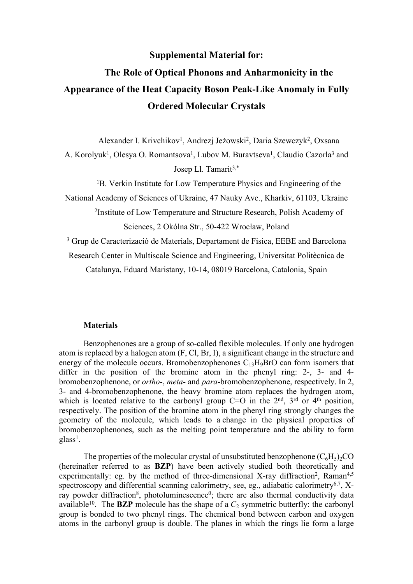# **Supplemental Material for:**

# **The Role of Optical Phonons and Anharmonicity in the Appearance of the Heat Capacity Boson Peak-Like Anomaly in Fully Ordered Molecular Crystals**

Alexander I. Krivchikov<sup>1</sup>, Andrezj Jeżowski<sup>2</sup>, Daria Szewczyk<sup>2</sup>, Oxsana A. Korolyuk<sup>1</sup>, Olesya O. Romantsova<sup>1</sup>, Lubov M. Buravtseva<sup>1</sup>, Claudio Cazorla<sup>3</sup> and Josep Ll. Tamarit<sup>3,\*</sup>

<sup>1</sup>B. Verkin Institute for Low Temperature Physics and Engineering of the

National Academy of Sciences of Ukraine, 47 Nauky Ave., Kharkiv, 61103, Ukraine

2 Institute of Low Temperature and Structure Research, Polish Academy of Sciences, 2 Okólna Str., 50-422 Wrocław, Poland

<sup>3</sup> Grup de Caracterizació de Materials, Departament de Fisica, EEBE and Barcelona

Research Center in Multiscale Science and Engineering, Universitat Politècnica de

Catalunya, Eduard Maristany, 10-14, 08019 Barcelona, Catalonia, Spain

### **Materials**

Benzophenones are a group of so-called flexible molecules. If only one hydrogen atom is replaced by a halogen atom (F, Cl, Br, I), a significant change in the structure and energy of the molecule occurs. Bromobenzophenones  $C_{13}H_9BrO$  can form isomers that differ in the position of the bromine atom in the phenyl ring: 2-, 3- and 4 bromobenzophenone, or *ortho*-, *meta*- and *para*-bromobenzophenone, respectively. In 2, 3- and 4-bromobenzophenone, the heavy bromine atom replaces the hydrogen atom, which is located relative to the carbonyl group  $C=O$  in the  $2<sup>nd</sup>$ ,  $3<sup>rd</sup>$  or  $4<sup>th</sup>$  position, respectively. The position of the bromine atom in the phenyl ring strongly changes the geometry of the molecule, which leads to a change in the physical properties of bromobenzophenones, such as the melting point temperature and the ability to form glass<sup>1</sup>.

The properties of the molecular crystal of unsubstituted benzophenone  $(C_6H_5)_2CO$ (hereinafter referred to as **BZP**) have been actively studied both theoretically and experimentally: eg. by the method of three-dimensional X-ray diffraction<sup>2</sup>, Raman<sup>4,5</sup> spectroscopy and differential scanning calorimetry, see, eg., adiabatic calorimetry<sup>6,7</sup>, Xray powder diffraction<sup>8</sup>, photoluminescence<sup>0</sup>; there are also thermal conductivity data available<sup>10</sup>. The **BZP** molecule has the shape of a  $C_2$  symmetric butterfly: the carbonyl group is bonded to two phenyl rings. The chemical bond between carbon and oxygen atoms in the carbonyl group is double. The planes in which the rings lie form a large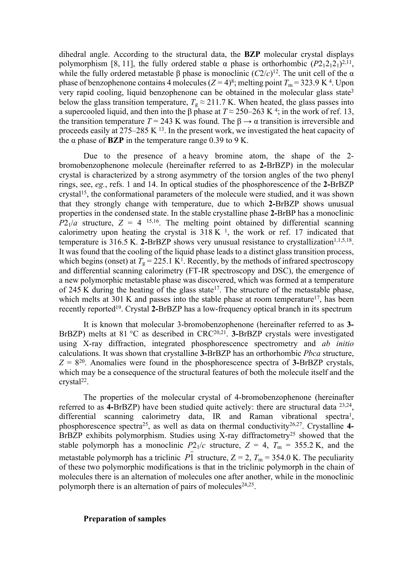dihedral angle. According to the structural data, the **BZP** molecular crystal displays polymorphism [8, 11], the fully ordered stable  $\alpha$  phase is orthorhombic  $(P2_12_12_1)^{2,11}$ , while the fully ordered metastable  $\beta$  phase is monoclinic  $(C2/c)^{12}$ . The unit cell of the  $\alpha$ phase of benzophenone contains 4 molecules  $(Z = 4)^8$ ; melting point  $T_m = 323.9$  K<sup>4</sup>. Upon very rapid cooling, liquid benzophenone can be obtained in the molecular glass state<sup>3</sup> below the glass transition temperature,  $T_g \approx 211.7$  K. When heated, the glass passes into a supercooled liquid, and then into the β phase at  $T \approx 250-263$  K<sup>4</sup>; in the work of ref. 13, the transition temperature  $T = 243$  K was found. The  $\beta \rightarrow \alpha$  transition is irreversible and proceeds easily at 275–285 K <sup>13</sup>. In the present work, we investigated the heat capacity of the  $\alpha$  phase of **BZP** in the temperature range 0.39 to 9 K.

Due to the presence of a heavy bromine atom, the shape of the 2 bromobenzophenone molecule (hereinafter referred to as **2-**BrBZP) in the molecular crystal is characterized by a strong asymmetry of the torsion angles of the two phenyl rings, see, *eg.*, refs. 1 and 14. In optical studies of the phosphorescence of the **2-**BrBZP crystal<sup>15</sup>, the conformational parameters of the molecule were studied, and it was shown that they strongly change with temperature, due to which **2-**BrBZP shows unusual properties in the condensed state. In the stable crystalline phase **2-**BrBP has a monoclinic  $P2_1/a$  structure,  $Z = 4$  <sup>15,16</sup>. The melting point obtained by differential scanning calorimetry upon heating the crystal is  $318 K<sup>-1</sup>$ , the work or ref. 17 indicated that temperature is  $316.5$  K. 2-BrBZP shows very unusual resistance to crystallization<sup> $1,1,5,18$ </sup>. It was found that the cooling of the liquid phase leads to a distinct glass transition process, which begins (onset) at  $T_g = 225.1 \text{ K}^1$ . Recently, by the methods of infrared spectroscopy and differential scanning calorimetry (FT-IR spectroscopy and DSC), the emergence of a new polymorphic metastable phase was discovered, which was formed at a temperature of 245 K during the heating of the glass state<sup>17</sup>. The structure of the metastable phase, which melts at 301 K and passes into the stable phase at room temperature<sup>17</sup>, has been recently reported<sup>19</sup>. Crystal **2-**BrBZP has a low-frequency optical branch in its spectrum

It is known that molecular 3-bromobenzophenone (hereinafter referred to as **3-** BrBZP) melts at 81 °C as described in CRC<sup>20,21</sup>. **3-**BrBZP crystals were investigated using X-ray diffraction, integrated phosphorescence spectrometry and *ab initio* calculations. It was shown that crystalline **3-**BrBZP has an orthorhombic *Pbca* structure,  $Z = 8^{20}$ . Anomalies were found in the phosphorescence spectra of **3-**BrBZP crystals, which may be a consequence of the structural features of both the molecule itself and the  $crystal<sup>22</sup>$ .

The properties of the molecular crystal of 4-bromobenzophenone (hereinafter referred to as **4-**BrBZP) have been studied quite actively: there are structural data 23,24 , differential scanning calorimetry data, IR and Raman vibrational spectra<sup>1</sup>, phosphorescence spectra<sup>25</sup>, as well as data on thermal conductivity26,27. Crystalline **4-** BrBZP exhibits polymorphism. Studies using X-ray diffractometry<sup>25</sup> showed that the stable polymorph has a monoclinic  $P2_1/c$  structure,  $Z = 4$ ,  $T_m = 355.2$  K, and the metastable polymorph has a triclinic  $P\overline{1}$  structure,  $Z = 2$ ,  $T<sub>m</sub> = 354.0$  K. The peculiarity of these two polymorphic modifications is that in the triclinic polymorph in the chain of molecules there is an alternation of molecules one after another, while in the monoclinic polymorph there is an alternation of pairs of molecules<sup>24,25</sup>.

## **Preparation of samples**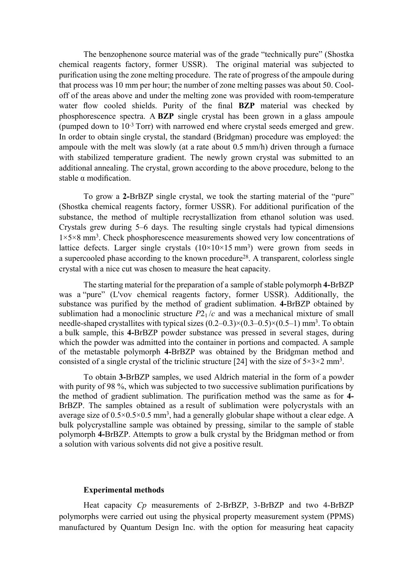The benzophenone source material was of the grade "technically pure" (Shostka chemical reagents factory, former USSR). The original material was subjected to purification using the zone melting procedure. The rate of progress of the ampoule during that process was 10 mm per hour; the number of zone melting passes was about 50. Cooloff of the areas above and under the melting zone was provided with room-temperature water flow cooled shields. Purity of the final **BZP** material was checked by phosphorescence spectra. A **BZP** single crystal has been grown in a glass ampoule (pumped down to 10-3 Torr) with narrowed end where crystal seeds emerged and grew. In order to obtain single crystal, the standard (Bridgman) procedure was employed: the ampoule with the melt was slowly (at a rate about 0.5 mm/h) driven through a furnace with stabilized temperature gradient. The newly grown crystal was submitted to an additional annealing. The crystal, grown according to the above procedure, belong to the stable  $\alpha$  modification.

To grow a **2-**BrBZP single crystal, we took the starting material of the "pure" (Shostka chemical reagents factory, former USSR). For additional purification of the substance, the method of multiple recrystallization from ethanol solution was used. Crystals grew during 5–6 days. The resulting single crystals had typical dimensions 1×5×8 mm<sup>3</sup> . Check phosphorescence measurements showed very low concentrations of lattice defects. Larger single crystals  $(10\times10\times15 \text{ mm}^3)$  were grown from seeds in a supercooled phase according to the known procedure<sup>28</sup>. A transparent, colorless single crystal with a nice cut was chosen to measure the heat capacity.

The starting material for the preparation of a sample of stable polymorph **4-**BrBZP was a "pure" (L'vov chemical reagents factory, former USSR). Additionally, the substance was purified by the method of gradient sublimation. **4-**BrBZP obtained by sublimation had a monoclinic structure  $P2<sub>1</sub>/c$  and was a mechanical mixture of small needle-shaped crystallites with typical sizes  $(0.2-0.3) \times (0.3-0.5) \times (0.5-1)$  mm<sup>3</sup>. To obtain a bulk sample, this **4-**BrBZP powder substance was pressed in several stages, during which the powder was admitted into the container in portions and compacted. A sample of the metastable polymorph **4-**BrBZP was obtained by the Bridgman method and consisted of a single crystal of the triclinic structure [24] with the size of  $5\times3\times2$  mm<sup>3</sup>.

To obtain **3-**BrBZP samples, we used Aldrich material in the form of a powder with purity of 98 %, which was subjected to two successive sublimation purifications by the method of gradient sublimation. The purification method was the same as for **4-** BrBZP. The samples obtained as a result of sublimation were polycrystals with an average size of  $0.5 \times 0.5 \times 0.5$  mm<sup>3</sup>, had a generally globular shape without a clear edge. A bulk polycrystalline sample was obtained by pressing, similar to the sample of stable polymorph **4-**BrBZP. Attempts to grow a bulk crystal by the Bridgman method or from a solution with various solvents did not give a positive result.

## **Experimental methods**

Heat capacity *Cp* measurements of 2-BrВZР, 3-BrBZP and two 4-BrBZP polymorphs were carried out using the physical property measurement system (PPMS) manufactured by Quantum Design Inc. with the option for measuring heat capacity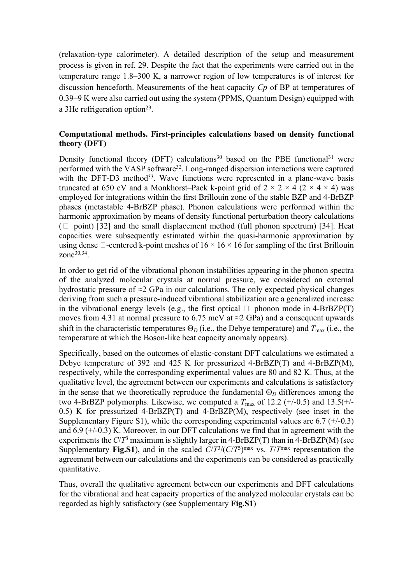(relaxation-type calorimeter). A detailed description of the setup and measurement process is given in ref. 29. Despite the fact that the experiments were carried out in the temperature range 1.8–300 K, a narrower region of low temperatures is of interest for discussion henceforth. Measurements of the heat capacity *Cp* of BP at temperatures of 0.39–9 K were also carried out using the system (PPMS, Quantum Design) equipped with a 3He refrigeration option<sup>29</sup>.

# **Computational methods. First-principles calculations based on density functional theory (DFT)**

Density functional theory (DFT) calculations<sup>30</sup> based on the PBE functional<sup>31</sup> were performed with the VASP software<sup>32</sup>. Long-ranged dispersion interactions were captured with the DFT-D3 method<sup>33</sup>. Wave functions were represented in a plane-wave basis truncated at 650 eV and a Monkhorst–Pack k-point grid of  $2 \times 2 \times 4$  ( $2 \times 4 \times 4$ ) was employed for integrations within the first Brillouin zone of the stable BZP and 4-BrBZP phases (metastable 4-BrBZP phase). Phonon calculations were performed within the harmonic approximation by means of density functional perturbation theory calculations  $(\Box$  point) [32] and the small displacement method (full phonon spectrum) [34]. Heat capacities were subsequently estimated within the quasi-harmonic approximation by using dense  $\Box$ -centered k-point meshes of  $16 \times 16 \times 16$  for sampling of the first Brillouin zone<sup>30,34</sup>.

In order to get rid of the vibrational phonon instabilities appearing in the phonon spectra of the analyzed molecular crystals at normal pressure, we considered an external hydrostatic pressure of  $\approx$ 2 GPa in our calculations. The only expected physical changes deriving from such a pressure-induced vibrational stabilization are a generalized increase in the vibrational energy levels (e.g., the first optical  $\Box$  phonon mode in 4-BrBZP(T) moves from 4.31 at normal pressure to 6.75 meV at  $\approx$ 2 GPa) and a consequent upwards shift in the characteristic temperatures  $\Theta_D$  (i.e., the Debye temperature) and  $T_{\text{max}}$  (i.e., the temperature at which the Boson-like heat capacity anomaly appears).

Specifically, based on the outcomes of elastic-constant DFT calculations we estimated a Debye temperature of 392 and 425 K for pressurized 4-BrBZP(T) and 4-BrBZP(M), respectively, while the corresponding experimental values are 80 and 82 K. Thus, at the qualitative level, the agreement between our experiments and calculations is satisfactory in the sense that we theoretically reproduce the fundamental  $\Theta_D$  differences among the two 4-BrBZP polymorphs. Likewise, we computed a  $T_{\text{max}}$  of 12.2 (+/-0.5) and 13.5(+/-0.5) K for pressurized 4-BrBZP(T) and 4-BrBZP(M), respectively (see inset in the Supplementary Figure S1), while the corresponding experimental values are  $6.7$  ( $+/-0.3$ ) and 6.9 (+/-0.3) K. Moreover, in our DFT calculations we find that in agreement with the experiments the  $C/T^3$  maximum is slightly larger in 4-BrBZP(T) than in 4-BrBZP(M) (see Supplementary **Fig.S1**), and in the scaled  $C/T^3/(C/T^3)$ <sup>max</sup> vs.  $T/T^{\text{max}}$  representation the agreement between our calculations and the experiments can be considered as practically quantitative.

Thus, overall the qualitative agreement between our experiments and DFT calculations for the vibrational and heat capacity properties of the analyzed molecular crystals can be regarded as highly satisfactory (see Supplementary **Fig.S1**)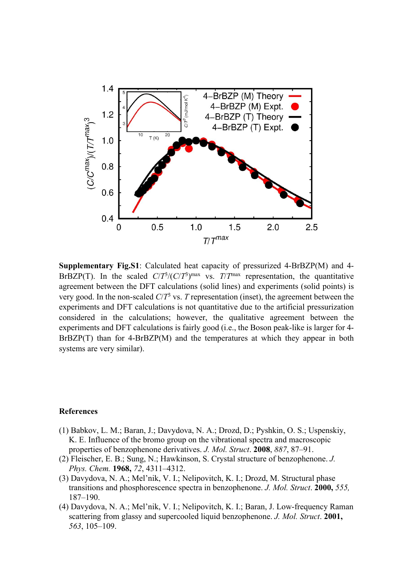

**Supplementary Fig.S1**: Calculated heat capacity of pressurized 4-BrBZP(M) and 4- BrBZP(T). In the scaled  $C/T^3/(C/T^3)$ <sup>max</sup> vs.  $T/T^{\text{max}}$  representation, the quantitative agreement between the DFT calculations (solid lines) and experiments (solid points) is very good. In the non-scaled  $C/T<sup>3</sup>$  vs. *T* representation (inset), the agreement between the experiments and DFT calculations is not quantitative due to the artificial pressurization considered in the calculations; however, the qualitative agreement between the experiments and DFT calculations is fairly good (i.e., the Boson peak-like is larger for 4- BrBZP(T) than for 4-BrBZP(M) and the temperatures at which they appear in both systems are very similar).

### **References**

- (1) Babkov, L. M.; Baran, J.; Davydova, N. A.; Drozd, D.; Pyshkin, O. S.; Uspenskiy, K. E. Influence of the bromo group on the vibrational spectra and macroscopic properties of benzophenone derivatives. *J. Mol. Struct*. **2008**, *887*, 87–91.
- (2) Fleischer, E. B.; Sung, N.; Hawkinson, S. Crystal structure of benzophenone. *J. Phys. Chem.* **1968,** *72*, 4311–4312.
- (3) Davydova, N. A.; Mel'nik, V. I.; Nelipovitch, K. I.; Drozd, M. Structural phase transitions and phosphorescence spectra in benzophenone. *J. Mol. Struct*. **2000,** *555,* 187–190.
- (4) Davydova, N. A.; Mel'nik, V. I.; Nelipovitch, K. I.; Baran, J. Low-frequency Raman scattering from glassy and supercooled liquid benzophenone. *J. Mol. Struct*. **2001,**  *563*, 105–109.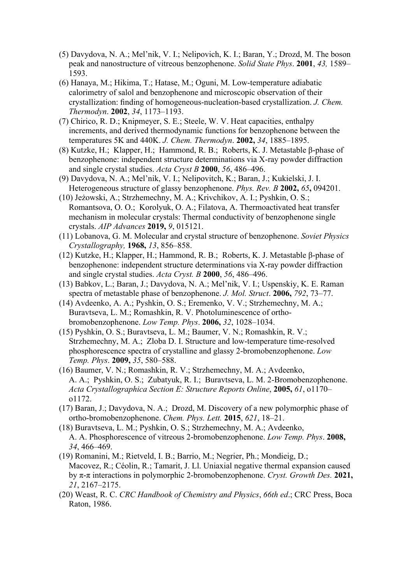- (5) Davydova, N. A.; Mel'nik, V. I.; Nelipovich, K. I.; Baran, Y.; Drozd, M. The boson peak and nanostructure of vitreous benzophenone. *Solid State Phys*. **2001**, *43,* 1589– 1593.
- (6) Hanaya, M.; Hikima, T.; Hatase, M.; Oguni, M. Low-temperature adiabatic calorimetry of salol and benzophenone and microscopic observation of their crystallization: finding of homogeneous-nucleation-based crystallization. *J. Chem. Thermodyn*. **2002**, *34*, 1173–1193.
- (7) Chirico, R. D.; Knipmeyer, S. E.; Steele, W. V. Heat capacities, enthalpy increments, and derived thermodynamic functions for benzophenone between the temperatures 5K and 440K. *J. Chem. Thermodyn*. **2002,** *34*, 1885–1895.
- (8) Kutzke, H.; Klapper, H.; Hammond, R. B.; Roberts, K. J. Metastable β-phase of benzophenone: independent structure determinations via X-ray powder diffraction and single crystal studies. *Acta Cryst B* **2000**, *56*, 486–496.
- (9) Davydova, N. A.; Mel'nik, V. I.; Nelipovitch, K.; Baran, J.; Kukielski, J. I. Heterogeneous structure of glassy benzophenone. *Phys. Rev. B* **2002,** *65***,** 094201.
- (10) Jeżowski, A.; Strzhemechny, M. A.; Krivchikov, A. I.; Pyshkin, O. S.; Romantsova, O. O.; Korolyuk, O. A.; Filatova, A. Thermoactivated heat transfer mechanism in molecular crystals: Thermal conductivity of benzophenone single crystals. *AIP Advances* **2019,** *9*, 015121.
- (11) Lobanova, G. M. Molecular and crystal structure of benzophenone. *Soviet Physics Crystallography,* **1968,** *13*, 856–858.
- (12) Kutzke, H.; Klapper, H.; Hammond, R. B.; Roberts, K. J. Metastable β-phase of benzophenone: independent structure determinations via X-ray powder diffraction and single crystal studies. *Acta Cryst. B* **2000**, *56*, 486–496.
- (13) Babkov, L.; Baran, J.; Davydova, N. A.; Mel'nik, V. I.; Uspenskiy, K. E. Raman spectra of metastable phase of benzophenone. *J. Mol. Struct*. **2006,** *792*, 73–77.
- (14) Avdeenko, A. A.; Pyshkin, O. S.; Eremenko, V. V.; Strzhemechny, M. A.; Buravtseva, L. M.; Romashkin, R. V. Photoluminescence of orthobromobenzophenone. *Low Temp. Phys*. **2006,** *32*, 1028–1034.
- (15) Pyshkin, O. S.; Buravtseva, L. M.; Baumer, V. N.; Romashkin, R. V.; Strzhemechny, M. A.; Zloba D. I. Structure and low-temperature time-resolved phosphorescence spectra of crystalline and glassy 2-bromobenzophenone. *Low Temp. Phys*. **2009,** *35*, 580–588.
- (16) Baumer, V. N.; Romashkin, R. V.; Strzhemechny, M. A.; Avdeenko, A. A.; Pyshkin, O. S.; Zubatyuk, R. I.; Buravtseva, L. M. 2-Bromobenzophenone. *Acta Crystallographica Section E: Structure Reports Online*, **2005,** *61*, o1170– o1172.
- (17) Baran, J.; Davydova, N. A.; Drozd, M. Discovery of a new polymorphic phase of ortho-bromobenzophenone. *Chem. Phys. Lett.* **2015**, *621*, 18–21.
- (18) Buravtseva, L. M.; Pyshkin, O. S.; Strzhemechny, M. A.; Avdeenko, A. A. Phosphorescence of vitreous 2-bromobenzophenone. *Low Temp. Phys*. **2008,**  *34*, 466–469.
- (19) Romanini, M.; Rietveld, I. B.; Barrio, M.; Negrier, Ph.; Mondieig, D.; Macovez, R.; Céolin, R.; Tamarit, J. Ll. Uniaxial negative thermal expansion caused by π-π interactions in polymorphic 2-bromobenzophenone. *Cryst. Growth Des.* **2021,**  *21*, 2167–2175.
- (20) Weast, R. C. *CRC Handbook of Chemistry and Physics*, *66th ed*.; CRC Press, Boca Raton, 1986.